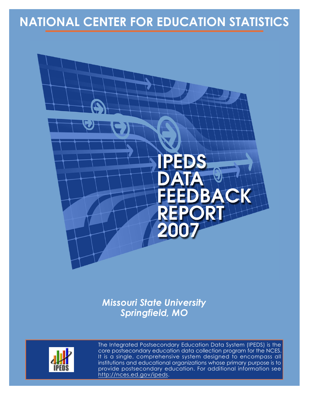# **NATIONAL CENTER FOR EDUCATION STATISTICS**



*Missouri State University Springfield, MO*



The Integrated Postsecondary Education Data System (IPEDS) is the core postsecondary education data collection program for the NCES. It is a single, comprehensive system designed to encompass all institutions and educational organizations whose primary purpose is to provide postsecondary education. For additional information see http://nces.ed.gov/ipeds.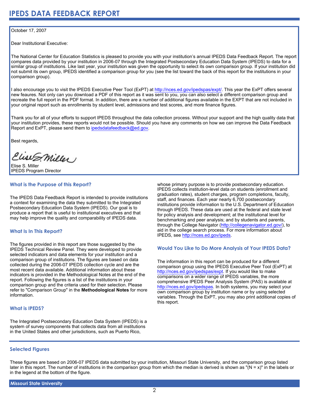#### October 17, 2007

Dear Institutional Executive:

The National Center for Education Statistics is pleased to provide you with your institution's annual IPEDS Data Feedback Report. The report compares data provided by your institution in 2006-07 through the Integrated Postsecondary Education Data System (IPEDS) to data for a similar group of institutions. Like last year, your institution was given the opportunity to select its own comparison group. If your institution did not submit its own group, IPEDS identified a comparison group for you (see the list toward the back of this report for the institutions in your comparison group).

I also encourage you to visit the IPEDS Executive Peer Tool (ExPT) at <http://nces.ed.gov/ipedspas/expt/>. This year the ExPT offers several new feaures. Not only can you download a PDF of this report as it was sent to you, you can also select a different comparison group and recreate the full report in the PDF format. In addition, there are a number of additional figures available in the EXPT that are not included in your original report such as enrollments by student level, admissions and test scores, and more finance figures.

Thank you for all of your efforts to support IPEDS throughout the data collection process. Without your support and the high quality data that your institution provides, these reports would not be possible. Should you have any comments on how we can improve the Data Feedback Report and ExPT, please send them to ipedsdatafeedback@ed.gov.

Best regards,

Clist S. Miller

Elise S. Miller IPEDS Program Director

## **What is the Purpose of this Report?**

The IPEDS Data Feedback Report is intended to provide institutions a context for examining the data they submitted to the Integrated Postsecondary Education Data System (IPEDS). Our goal is to produce a report that is useful to institutional executives and that may help improve the quality and comparability of IPEDS data.

### **What Is In This Report?**

The figures provided in this report are those suggested by the IPEDS Technical Review Panel. They were developed to provide selected indicators and data elements for your institution and a comparison group of institutions. The figures are based on data collected during the 2006-07 IPEDS collection cycle and are the most recent data available. Additional information about these indicators is provided in the Methodological Notes at the end of the report. Following the figures is a list of the institutions in your comparison group and the criteria used for their selection. Please refer to "Comparison Group" in the **Methodological Notes** for more information.

#### **What is IPEDS?**

The Integrated Postsecondary Education Data System (IPEDS) is a system of survey components that collects data from all institutions in the United States and other jurisdictions, such as Puerto Rico,

whose primary purpose is to provide postsecondary education. IPEDS collects institution-level data on students (enrollment and graduation rates), student charges, program completions, faculty, staff, and finances. Each year nearly 6,700 postsecondary institutions provide information to the U.S. Department of Education through IPEDS. These data are used at the federal and state level for policy analysis and development; at the institutional level for benchmarking and peer analysis; and by students and parents, through the College Navigator ([http://collegenavigator.ed.gov/\)](http://collegenavigator.ed.gov), to aid in the college search process. For more information about IPEDS, see [http://nces.ed.gov/ipeds.](http://nces.ed.gov/ipeds)

### **Would You Like to Do More Analysis of Your IPEDS Data?**

The information in this report can be produced for a different comparison group using the IPEDS Executive Peer Tool (ExPT) at [http://nces.ed.gov/ipedspas/expt.](http://nces.ed.gov/ipedspas/expt) If you would like to make comparisons on a wider range of IPEDS variables, the more comprehensive IPEDS Peer Analysis System (PAS) is available at <http://nces.ed.gov/ipedspas>. In both systems, you may select your own comparison group by institution name or by using selected variables. Through the ExPT, you may also print additional copies of this report.

### **Selected Figures**

These figures are based on 2006-07 IPEDS data submitted by your institution, Missouri State University, and the comparison group listed later in this report. The number of institutions in the comparison group from which the median is derived is shown as "( $N = x$ )" in the labels or in the legend at the bottom of the figure.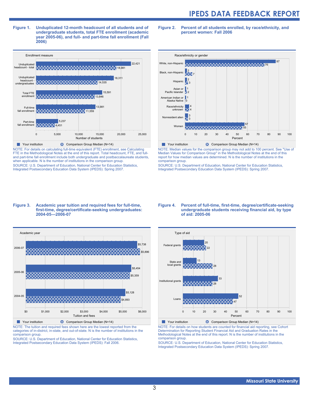**Figure 1. Unduplicated 12-month headcount of all students and of undergraduate students, total FTE enrollment (academic year 2005-06), and full- and part-time fall enrollment (Fall 2006)**



NOTE: For details on calculating full-time equivalent (FTE) enrollment, see Calculating FTE in the Methodological Notes at the end of this report. Total headcount, FTE, and fulland part-time fall enrollment include both undergraduate and postbaccalaureate students, when applicable. N is the number of institutions in the comparison group. SOURCE: U.S. Department of Education, National Center for Education Statistics, Integrated Postsecondary Education Data System (IPEDS): Spring 2007.

**Figure 2. Percent of all students enrolled, by race/ethnicity, and percent women: Fall 2006**



NOTE: Median values for the comparison group may not add to 100 percent. See "Use of Median Values for Comparison Group" in the Methodological Notes at the end of this report for how median values are determined. N is the number of institutions in the comparison group.

SOURCE: U.S. Department of Education, National Center for Education Statistics, Integrated Postsecondary Education Data System (IPEDS): Spring 2007.

#### **Figure 3. Academic year tuition and required fees for full-time, first-time, degree/certificate-seeking undergraduates: 2004-05—2006-07**



NOTE: The tuition and required fees shown here are the lowest reported from the categories of in-district, in-state, and out-of-state. N is the number of institutions in the comparison group.

SOURCE: U.S. Department of Education, National Center for Education Statistics, Integrated Postsecondary Education Data System (IPEDS): Fall 2006.

#### **Figure 4. Percent of full-time, first-time, degree/certificate-seeking undergraduate students receiving financial aid, by type of aid: 2005-06**

![](_page_2_Figure_13.jpeg)

NOTE: For details on how students are counted for financial aid reporting, see Cohort Determination for Reporting Student Financial Aid and Graduation Rates in the Methodological Notes at the end of this report. N is the number of institutions in the comparison group.

SOURCE: U.S. Department of Education, National Center for Education Statistics, Integrated Postsecondary Education Data System (IPEDS): Spring 2007.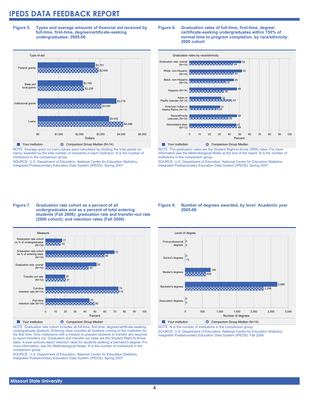**Figure 5. Types and average amounts of financial aid received by full-time, first-time, degree/certificate-seeking undergraduates: 2005-06**

![](_page_3_Figure_2.jpeg)

NOTE: Average grant (or loan) values were calculated by dividing the total grants (or loans) awarded by the total number of recipients in each institution. N is the number of institutions in the comparison group.

SOURCE: U.S. Department of Education, National Center for Education Statistics, Integrated Postsecondary Education Data System (IPEDS): Spring 2007.

![](_page_3_Figure_5.jpeg)

![](_page_3_Figure_6.jpeg)

NOTE: The graduation rates are the Student Right-to-Know (SRK) rates. For more information see the Methodological Notes at the end of the report. N is the number of institutions in the comparison group.

SOURCE: U.S. Department of Education, National Center for Education Statistics, Integrated Postsecondary Education Data System (IPEDS): Spring 2007.

#### **Figure 7. Graduation rate cohort as a percent of all undergraduates and as a percent of total entering students (Fall 2006); graduation rate and transfer-out rate (2000 cohort); and retention rates (Fall 2006)**

![](_page_3_Figure_10.jpeg)

NOTE: Graduation rate cohort includes all full-time, first-time, degree/certificate-seeking undergraduate students. Entering class includes all students coming to the institution for the first time. Only institutions with a mission to prepare students to transfer are required to report transfers out. Graduation and transfer-out rates are the Student Right-to-Know rates. 4-year schools report retention rates for students seeking a bachelor's degree. For more information, see the Methodological Notes. N is the number of institutions in the comparison group.

SOURCE: U.S. Department of Education, National Center for Education Statistics, Integrated Postsecondary Education Data System (IPEDS): Spring 2007.

#### **Figure 8. Number of degrees awarded, by level: Academic year 2005-06**

![](_page_3_Figure_14.jpeg)

NOTE: N is the number of institutions in the comparison group. SOURCE: U.S. Department of Education, National Center for Education Statistics, Integrated Postsecondary Education Data System (IPEDS): Fall 2006.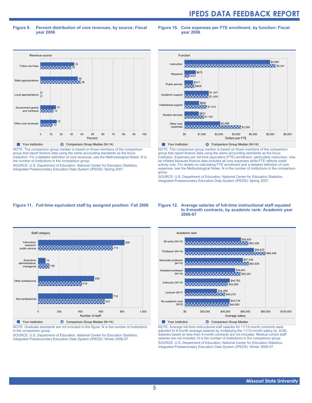#### **Figure 9. Percent distribution of core revenues, by source: Fiscal year 2006**

**Figure 10. Core expenses per FTE enrollment, by function: Fiscal year 2006**

![](_page_4_Figure_3.jpeg)

group that report finance data using the same accounting standards as the focus institution. For a detailed definition of core revenues, see the Methodological Notes. N is the number of institutions in the comparison group.

SOURCE: U.S. Department of Education, National Center for Education Statistics, Integrated Postsecondary Education Data System (IPEDS): Spring 2007.

![](_page_4_Figure_6.jpeg)

group that report finance data using the same accounting standards as the focus institution. Expenses per full-time equivalent (FTE) enrollment, particularly instruction, may be inflated because finance data includes all core expenses while FTE reflects credit activity only. For details on calculating FTE enrollment and a detailed definition of core expenses, see the Methodological Notes. N is the number of institutions in the comparison group.

SOURCE: U.S. Department of Education, National Center for Education Statistics, Integrated Postsecondary Education Data System (IPEDS): Spring 2007.

#### **Figure 11. Full-time equivalent staff by assigned position: Fall 2006**

![](_page_4_Figure_10.jpeg)

NOTE: Graduate assistants are not included in this figure. N is the number of institutions in the comparison group.

SOURCE: U.S. Department of Education, National Center for Education Statistics, Integrated Postsecondary Education Data System (IPEDS): Winter 2006-07.

#### **Figure 12. Average salaries of full-time instructional staff equated to 9-month contracts, by academic rank: Academic year 2006-07**

![](_page_4_Figure_14.jpeg)

NOTE: Average full-time instructional staff salaries for 11/12-month contracts were adjusted to 9-month average salaries by multiplying the 11/12-month salary by .8182. Salaries based on less than 9-month contracts are not included. Medical school staff salaries are not included. N is the number of institutions in the comparison group. SOURCE: U.S. Department of Education, National Center for Education Statistics, Integrated Postsecondary Education Data System (IPEDS): Winter 2006-07.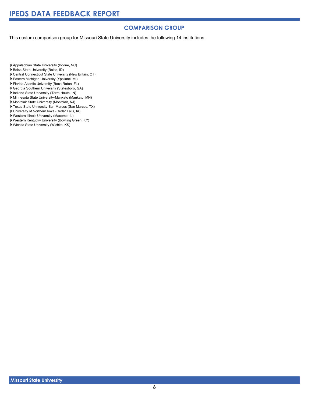### **COMPARISON GROUP**

This custom comparison group for Missouri State University includes the following 14 institutions:

Appalachian State University (Boone, NC)

- Boise State University (Boise, ID)
- Central Connecticut State University (New Britain, CT)
- Eastern Michigan University (Ypsilanti, MI)
- Florida Atlantic University (Boca Raton, FL)
- Georgia Southern University (Statesboro, GA)
- Indiana State University (Terre Haute, IN)
- Minnesota State University-Mankato (Mankato, MN)
- Montclair State University (Montclair, NJ)
- Texas State University-San Marcos (San Marcos, TX)
- University of Northern Iowa (Cedar Falls, IA)
- Western Illinois University (Macomb, IL)
- Western Kentucky University (Bowling Green, KY)
- Wichita State University (Wichita, KS)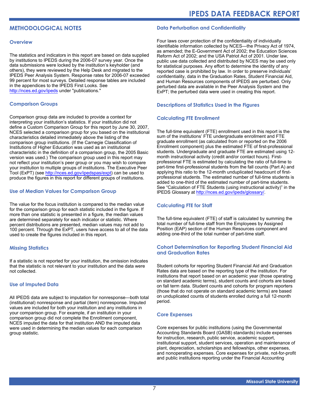# **METHODOLOGICAL NOTES**

#### **Overview**

The statistics and indicators in this report are based on data supplied by institutions to IPEDS during the 2006-07 survey year. Once the data submissions were locked by the institution's keyholder (and others), they were reviewed by the Help Desk and migrated to the IPEDS Peer Analysis System. Response rates for 2006-07 exceeded 99 percent for most surveys. Detailed response tables are included in the appendices to the IPEDS First Looks. See <http://nces.ed.gov/ipeds>under "publications."

#### **Comparison Groups**

Comparison group data are included to provide a context for interpreting your institution's statistics. If your institution did not define a Custom Comparison Group for this report by June 30, 2007, NCES selected a comparison group for you based on the institutional characteristics detailed immediately above the listing of the comparison group institutions. (If the Carnegie Classification of Institutions of Higher Education was used as an institutional characteristic in the definition of a comparison group, the 2005 Basic version was used.) The comparison group used in this report may not reflect your institution's peer group or you may wish to compare your institution to multiple groups of institutions. The Executive Peer Tool (ExPT) (see<http://nces.ed.gov/ipedspas/expt>) can be used to produce the figures in this report for different groups of institutions.

#### **Use of Median Values for Comparison Group**

The value for the focus institution is compared to the median value for the comparison group for each statistic included in the figure. If more than one statistic is presented in a figure, the median values are determined separately for each indicator or statistic. Where percent distributions are presented, median values may not add to 100 percent. Through the ExPT, users have access to all of the data used to create the figures included in this report.

#### **Missing Statistics**

If a statistic is not reported for your institution, the omission indicates that the statistic is not relevant to your institution and the data were not collected.

### **Use of Imputed Data**

All IPEDS data are subject to imputation for nonresponse—both total (institutional) nonresponse and partial (item) nonresponse. Imputed values are included for both your institution and any institutions in your comparison group. For example, if an institution in your comparison group did not complete the Enrollment component, NCES imputed the data for that institution AND the imputed data were used in determining the median values for each comparison group statistic.

### **Data Perturbation and Confidentiality**

Four laws cover protection of the confidentiality of individually identifiable information collected by NCES—the Privacy Act of 1974, as amended; the E-Government Act of 2002; the Education Sciences Reform Act of 2002; and the USA Patriot Act of 2001. Under law, public use data collected and distributed by NCES may be used only for statistical purposes. Any effort to determine the identity of any reported case is prohibited by law. In order to preserve individuals' confidentiality, data in the Graduation Rates, Student Financial Aid, and Human Resources components of IPEDS are perturbed. Only perturbed data are available in the Peer Analysis System and the ExPT; the perturbed data were used in creating this report.

#### **Descriptions of Statistics Used in the Figures**

#### **Calculating FTE Enrollment**

The full-time equivalent (FTE) enrollment used in this report is the sum of the institutions' FTE undergraduate enrollment and FTE graduate enrollment (as calculated from or reported on the 2006 Enrollment component) plus the estimated FTE of first-professional students. Undergraduate and graduate FTE are estimated using 12 month instructional activity (credit and/or contact hours). Firstprofessional FTE is estimated by calculating the ratio of full-time to part-time first-professional students from the fall counts (Part A) and applying this ratio to the 12-month unduplicated headcount of firstprofessional students. The estimated number of full-time students is added to one-third of the estimated number of part-time students. See "Calculation of FTE Students (using instructional activity)" in the IPEDS Glossary at [http://nces.ed.gov/ipeds/glossary/.](http://nces.ed.gov/ipeds/glossary/)

#### **Calculating FTE for Staff**

The full-time equivalent (FTE) of staff is calculated by summing the total number of full-time staff from the Employees by Assigned Position (EAP) section of the Human Resources component and adding one-third of the total number of part-time staff.

#### **Cohort Determination for Reporting Student Financial Aid and Graduation Rates**

Student cohorts for reporting Student Financial Aid and Graduation Rates data are based on the reporting type of the institution. For institutions that report based on an academic year (those operating on standard academic terms), student counts and cohorts are based on fall term data. Student counts and cohorts for program reporters (those that do not operate on standard academic terms) are based on unduplicated counts of students enrolled during a full 12-month period.

#### **Core Expenses**

Core expenses for public institutions (using the Governmental Accounting Standards Board (GASB) standards) include expenses for instruction, research, public service, academic support, institutional support, student services, operation and maintenance of plant, depreciation, scholarships and fellowships, other expenses, and nonoperating expenses. Core expenses for private, not-for-profit and public institutions reporting under the Financial Accounting